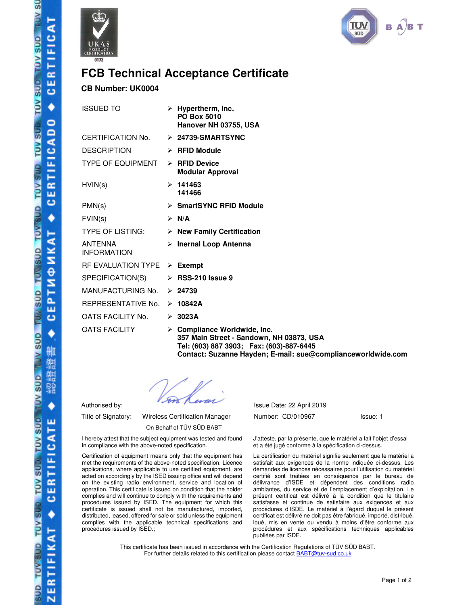



## **FCB Technical Acceptance Certificate**

## **CB Number: UK0004**

| <b>ISSUED TO</b>                     |   | $\triangleright$ Hypertherm, Inc.<br>PO Box 5010<br>Hanover NH 03755, USA |
|--------------------------------------|---|---------------------------------------------------------------------------|
| CERTIFICATION No.                    |   | $\triangleright$ 24739-SMARTSYNC                                          |
| <b>DESCRIPTION</b>                   |   | $\triangleright$ RFID Module                                              |
| <b>TYPE OF EQUIPMENT</b>             | ⋗ | <b>RFID Device</b><br><b>Modular Approval</b>                             |
| HVIN(s)                              |   | >141463<br>141466                                                         |
| PMN(s)                               |   | > SmartSYNC RFID Module                                                   |
| FVIN(s)                              |   | ≻ N/A                                                                     |
| <b>TYPE OF LISTING:</b>              |   | $\triangleright$ New Family Certification                                 |
| <b>ANTENNA</b><br><b>INFORMATION</b> |   | > Inernal Loop Antenna                                                    |
| <b>RF EVALUATION TYPE</b>            |   | $\triangleright$ Exempt                                                   |
| SPECIFICATION(S)                     |   | $\triangleright$ RSS-210 Issue 9                                          |
| MANUFACTURING No.                    |   | $\geq 24739$                                                              |
| REPRESENTATIVE No.                   | ➤ | 10842A                                                                    |
| OATS FACILITY No.                    |   | $\geq 3023A$                                                              |
| <b>OATS FACILITY</b>                 |   | Compliance Worldwide, Inc.<br>357 Main Street - Sandown, NH               |

1 03873. USA **Tel: (603) 887 3903; Fax: (603)-887-6445 Contact: Suzanne Hayden; E-mail: sue@complianceworldwide.com**

On Behalf of TÜV SÜD BABT

I hereby attest that the subject equipment was tested and found in compliance with the above-noted specification.

Certification of equipment means only that the equipment has met the requirements of the above-noted specification. Licence applications, where applicable to use certified equipment, are acted on accordingly by the ISED issuing office and will depend on the existing radio environment, service and location of operation. This certificate is issued on condition that the holder complies and will continue to comply with the requirements and procedures issued by ISED. The equipment for which this certificate is issued shall not be manufactured, imported, distributed, leased, offered for sale or sold unless the equipment complies with the applicable technical specifications and procedures issued by ISED.;

Authorised by: Issue Date: 22 April 2019 Title of Signatory: Wireless Certification Manager Mumber: CD/010967 Issue: 1

J'atteste, par la présente, que le matériel a fait l'objet d'essai et a été jugé conforme à la spécification ci-dessus.

La certification du matériel signifie seulement que le matériel a satisfait aux exigences de la norme indiquée ci-dessus. Les demandes de licences nécessaires pour l'utilisation du matériel certifié sont traitées en conséquence par le bureau de délivrance d'ISDE et dépendent des conditions radio ambiantes, du service et de l'emplacement d'exploitation. Le présent certificat est délivré à la condition que le titulaire satisfasse et continue de satisfaire aux exigences et aux procédures d'ISDE. Le matériel à l'égard duquel le présent certificat est délivré ne doit pas être fabriqué, importé, distribué, loué, mis en vente ou vendu à moins d'être conforme aux procédures et aux spécifications techniques applicables publiées par ISDE.

This certificate has been issued in accordance with the Certification Regulations of TÜV SÜD BABT. For further details related to this certification please contact **BABT@tuv-sud.co.uk**